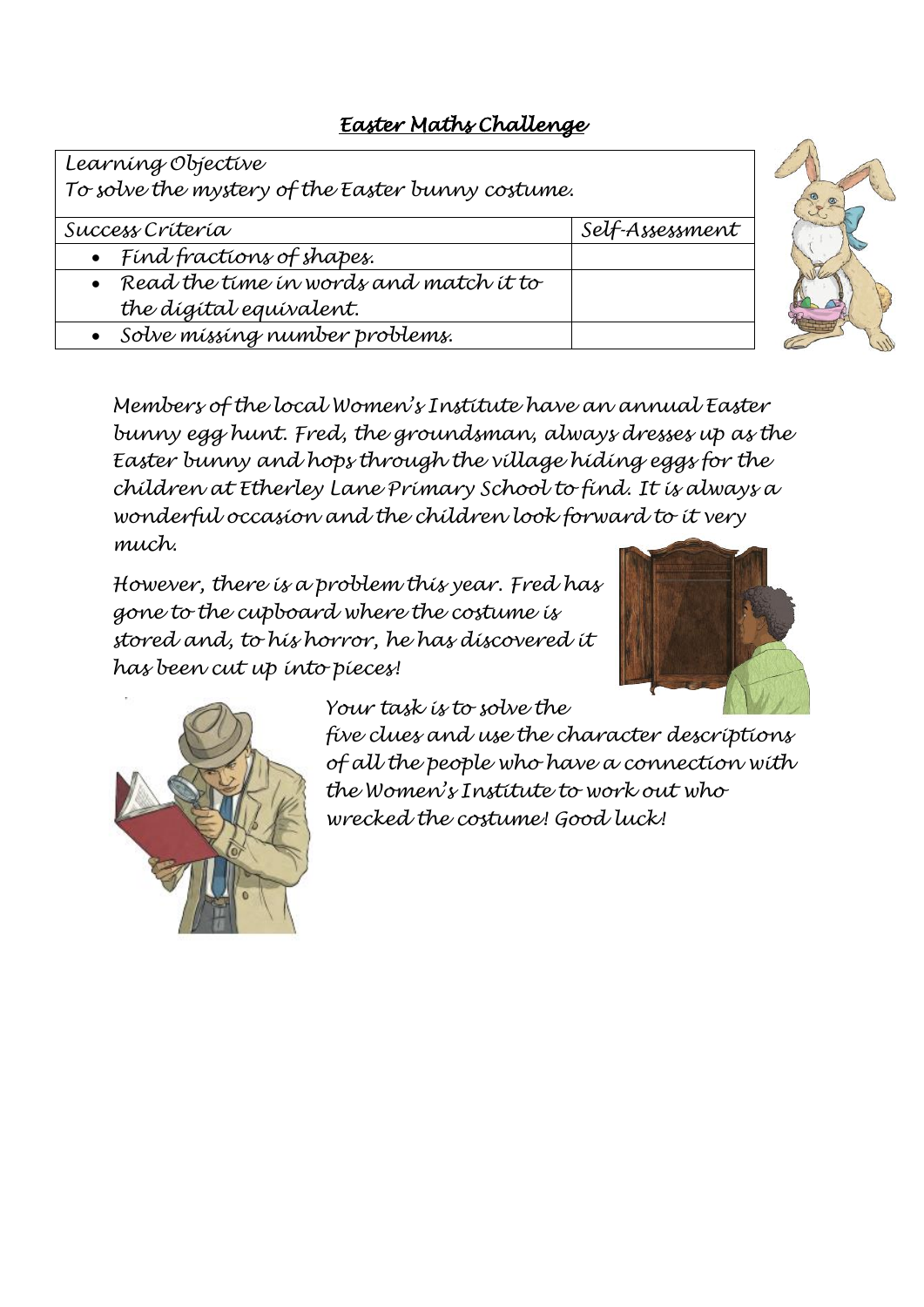# *Easter Maths Challenge*

*Learning Objective*

*To solve the mystery of the Easter bunny costume.* 

*Success Criteria Self-Assessment*

- *Find fractions of shapes.*
- *Read the time in words and match it to the digital equivalent.*
- *Solve missing number problems.*

*Members of the local Women's Institute have an annual Easter bunny egg hunt. Fred, the groundsman, always dresses up as the Easter bunny and hops through the village hiding eggs for the children at Etherley Lane Primary School to find. It is always a wonderful occasion and the children look forward to it very much.*

*However, there is a problem this year. Fred has gone to the cupboard where the costume is stored and, to his horror, he has discovered it has been cut up into pieces!*





*Your task is to solve the* 

*five clues and use the character descriptions of all the people who have a connection with the Women's Institute to work out who wrecked the costume! Good luck!*

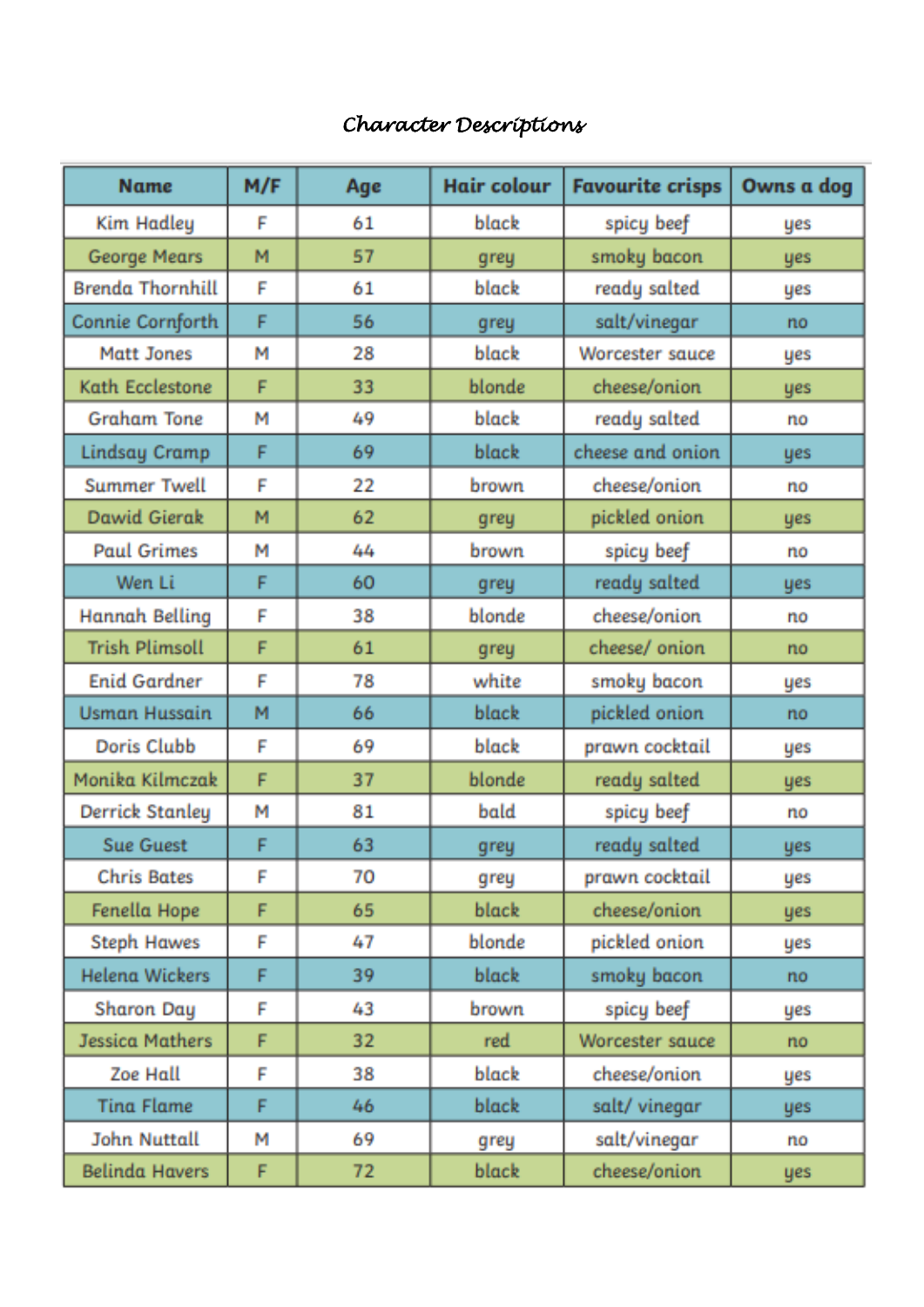# *Character Descriptions*

| <b>Name</b>             | M/F | Age | Hair colour  | <b>Favourite crisps</b> | Owns a dog |
|-------------------------|-----|-----|--------------|-------------------------|------------|
| <b>Kim Hadley</b>       | F   | 61  | black        | spicy beef              | yes        |
| George Mears            | M   | 57  | grey         | smoky bacon             | yes        |
| <b>Brenda Thornhill</b> | F   | 61  | black        | ready salted            | yes        |
| Connie Cornforth        | F   | 56  | grey         | salt/vinegar            | no         |
| <b>Matt Jones</b>       | М   | 28  | black        | Worcester sauce         | yes        |
| Kath Ecclestone         | F   | 33  | blonde       | cheese/onion            | yes        |
| <b>Graham Tone</b>      | М   | 49  | black        | ready salted            | no         |
| <b>Lindsay Cramp</b>    | F   | 69  | black        | cheese and onion        | yes        |
| <b>Summer Twell</b>     | F   | 22  | brown        | cheese/onion            | no         |
| Dawid Gierak            | M   | 62  | grey         | pickled onion           | yes        |
| <b>Paul Grimes</b>      | М   | 44  | brown        | spicy beef              | no         |
| Wen Li                  | F   | 60  | grey         | ready salted            | yes        |
| <b>Hannah Belling</b>   | F   | 38  | blonde       | cheese/onion            | no         |
| <b>Trish Plimsoll</b>   | F   | 61  | grey         | cheese/ onion           | no         |
| <b>Enid Gardner</b>     | F   | 78  | white        | smoky bacon             | yes        |
| <b>Usman Hussain</b>    | M   | 66  | <b>black</b> | pickled onion           | no         |
| Doris Clubb             | F   | 69  | black        | prawn cocktail          | yes        |
| Monika Kilmczak         | F   | 37  | blonde       | ready salted            | yes        |
| <b>Derrick Stanley</b>  | М   | 81  | bald         | spicy beef              | no         |
| <b>Sue Guest</b>        | F   | 63  | grey         | ready salted            | yes        |
| <b>Chris Bates</b>      | F   | 70  | grey         | prawn cocktail          | yes        |
| Fenella Hope            | F   | 65  | black.       | cheese/onion            | yes        |
| <b>Steph Hawes</b>      | F   | 47  | blonde       | pickled onion           | yes        |
| <b>Helena Wickers</b>   | F   | 39  | black.       | smoky bacon             | no         |
| Sharon Day              | F   | 43  | brown        | spicy beef              | yes        |
| <b>Jessica Mathers</b>  | F   | 32  | red          | Worcester sauce         | no         |
| Zoe Hall                | F   | 38  | black        | cheese/onion            | <b>yes</b> |
| <b>Tina Flame</b>       | F   | 46  | <b>black</b> | salt/vinegar            | yes.       |
| <b>John Nuttall</b>     | М   | 69  | grey         | salt/vinegar            | no         |
| <b>Belinda Havers</b>   | F   | 72  | <b>black</b> | cheese/onion            | yes        |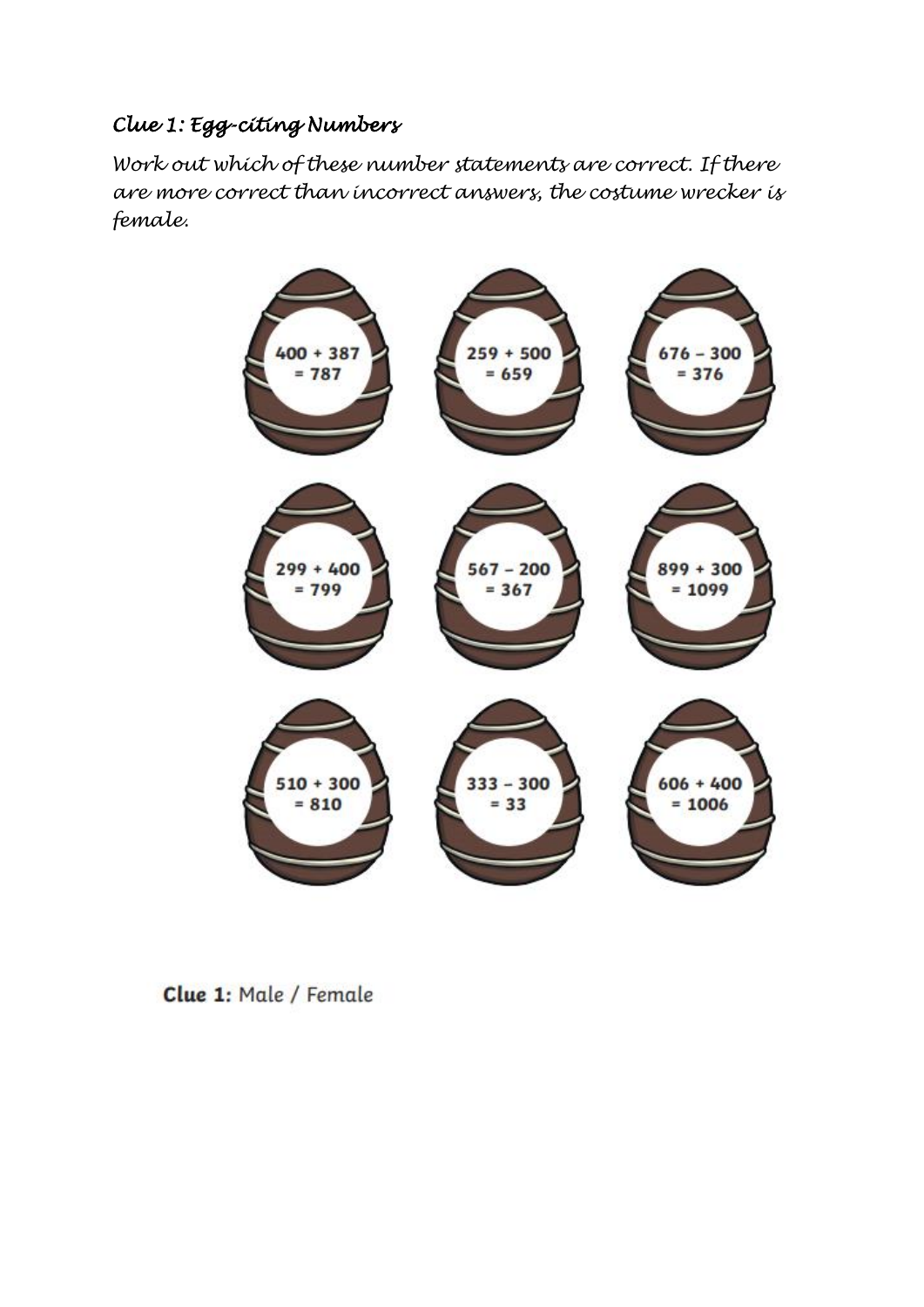# *Clue 1: Egg-citing Numbers*

*Work out which of these number statements are correct. If there are more correct than incorrect answers, the costume wrecker is female.*



Clue 1: Male / Female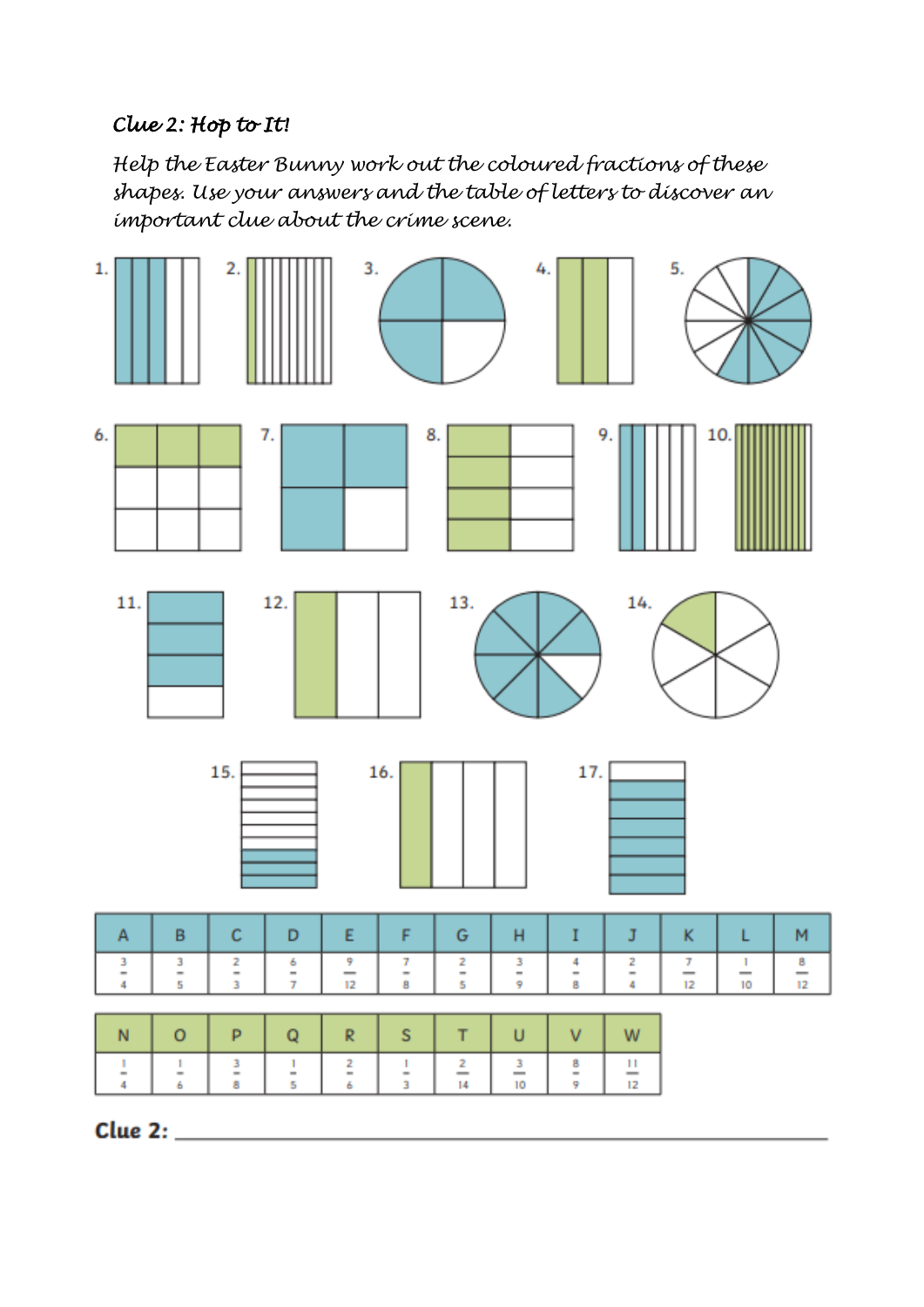### *Clue 2: Hop to It!*

*Help the Easter Bunny work out the coloured fractions of these shapes. Use your answers and the table of letters to discover an important clue about the crime scene.*



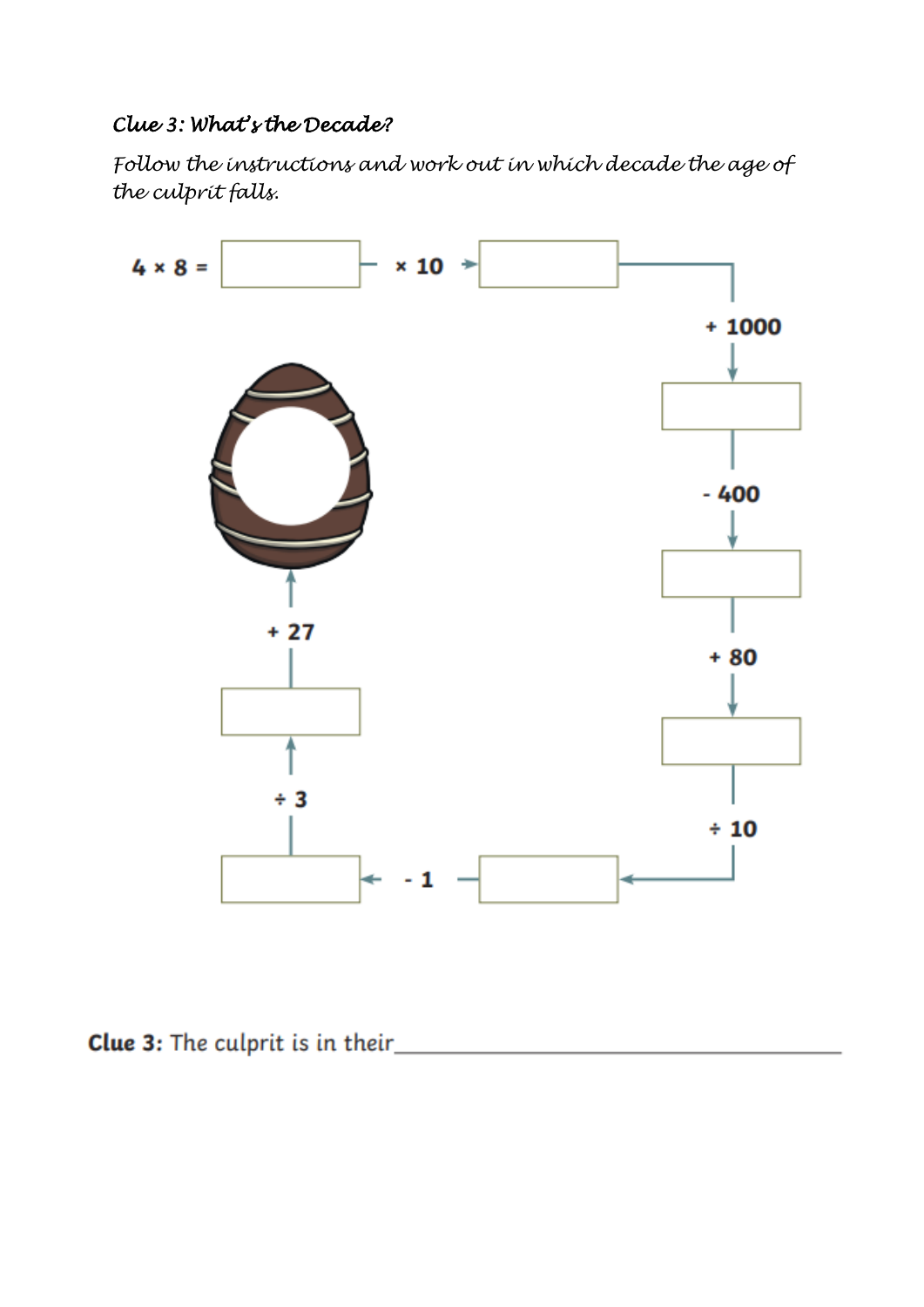### *Clue 3: What's the Decade?*

*Follow the instructions and work out in which decade the age of the culprit falls.*



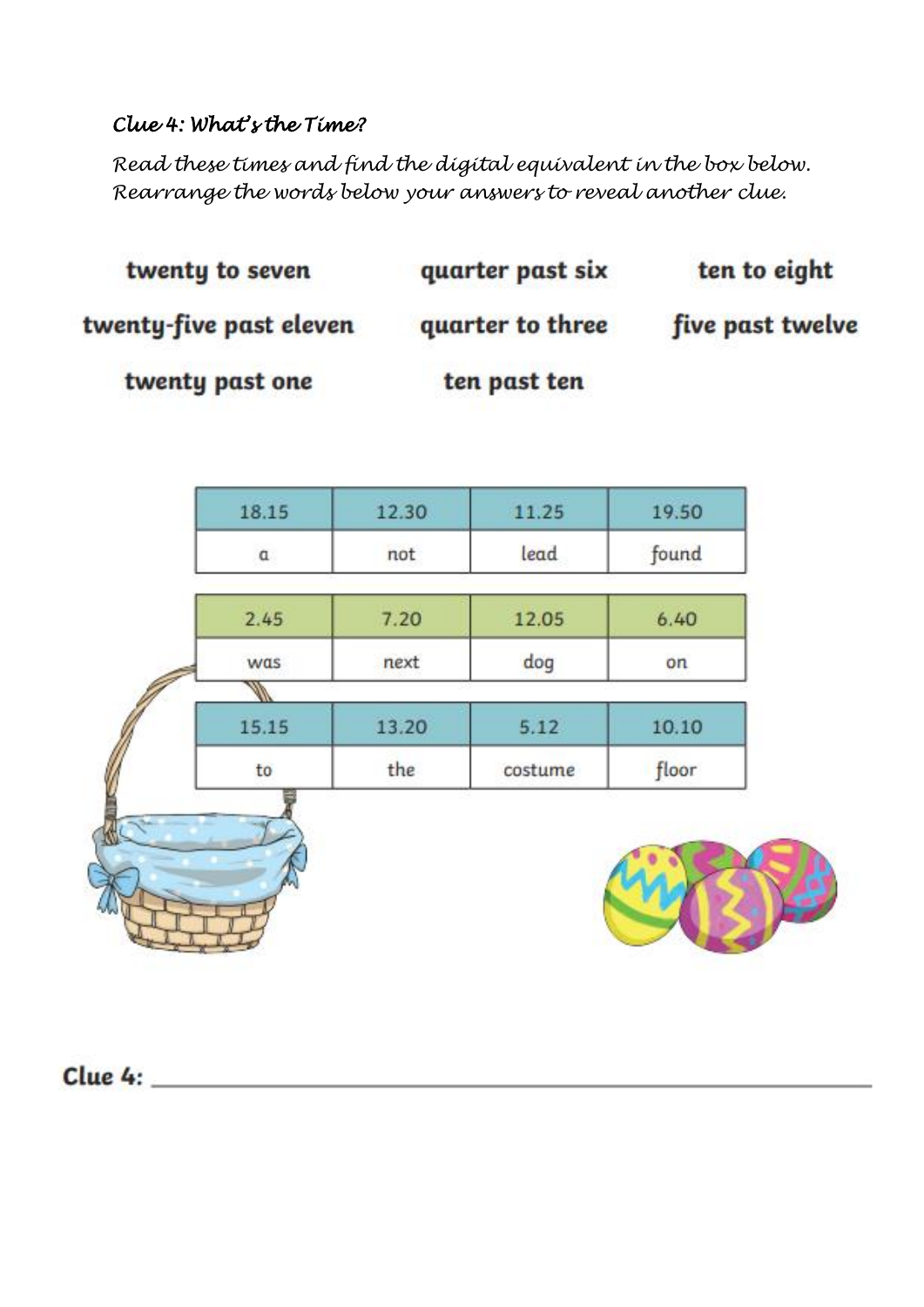#### *Clue 4: What's the Time?*

*Read these times and find the digital equivalent in the box below. Rearrange the words below your answers to reveal another clue.*

| twenty to seven         | quarter past six | ten to eight     |
|-------------------------|------------------|------------------|
| twenty-five past eleven | quarter to three | five past twelve |
| twenty past one         | ten past ten     |                  |

| $\alpha$ | not   | lead    | found |
|----------|-------|---------|-------|
| 2.45     | 7.20  | 12.05   | 6.40  |
| was      | next  | dog     | on    |
|          |       |         |       |
| 15.15    | 13.20 | 5.12    | 10.10 |
| to       | the   | costume | floor |

Clue  $4:$